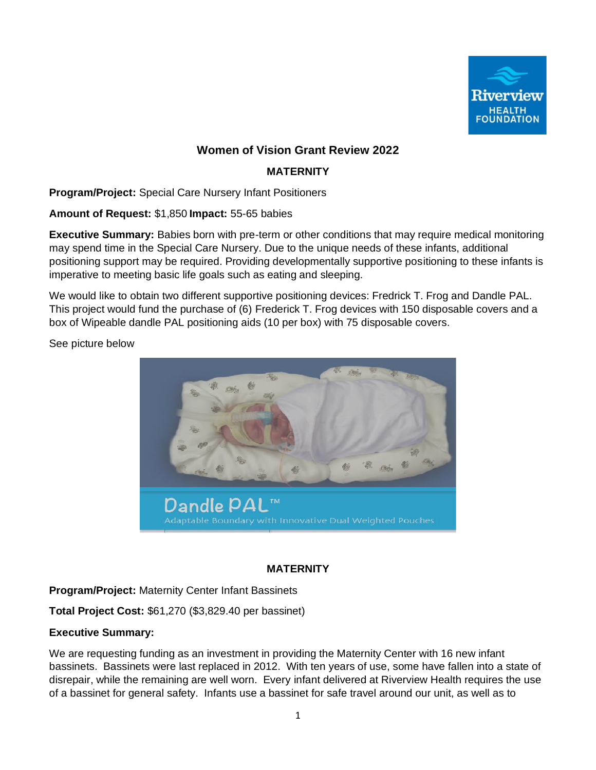

# **Women of Vision Grant Review 2022**

# **MATERNITY**

**Program/Project:** Special Care Nursery Infant Positioners

**Amount of Request:** \$1,850 **Impact:** 55-65 babies

**Executive Summary:** Babies born with pre-term or other conditions that may require medical monitoring may spend time in the Special Care Nursery. Due to the unique needs of these infants, additional positioning support may be required. Providing developmentally supportive positioning to these infants is imperative to meeting basic life goals such as eating and sleeping.

We would like to obtain two different supportive positioning devices: Fredrick T. Frog and Dandle PAL. This project would fund the purchase of (6) Frederick T. Frog devices with 150 disposable covers and a box of Wipeable dandle PAL positioning aids (10 per box) with 75 disposable covers.

See picture below



# **MATERNITY**

**Program/Project:** Maternity Center Infant Bassinets

**Total Project Cost:** \$61,270 (\$3,829.40 per bassinet)

# **Executive Summary:**

We are requesting funding as an investment in providing the Maternity Center with 16 new infant bassinets. Bassinets were last replaced in 2012. With ten years of use, some have fallen into a state of disrepair, while the remaining are well worn. Every infant delivered at Riverview Health requires the use of a bassinet for general safety. Infants use a bassinet for safe travel around our unit, as well as to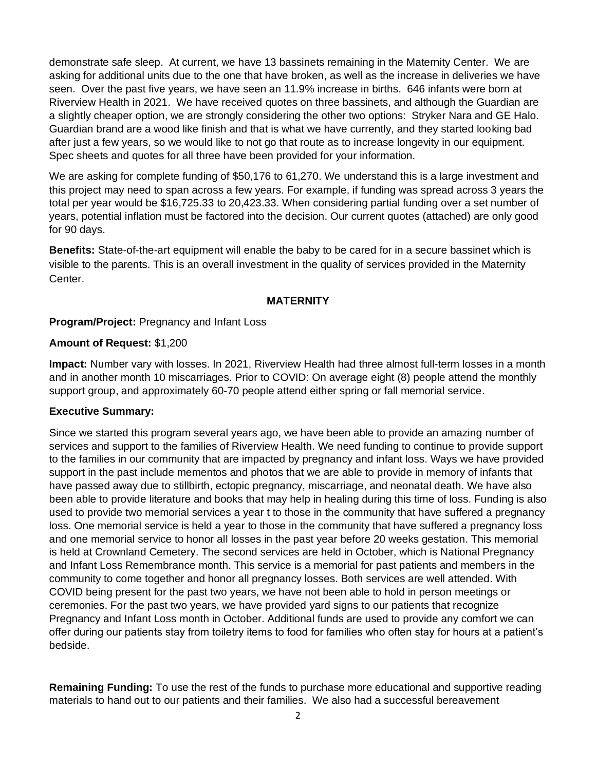demonstrate safe sleep. At current, we have 13 bassinets remaining in the Maternity Center. We are asking for additional units due to the one that have broken, as well as the increase in deliveries we have seen. Over the past five years, we have seen an 11.9% increase in births. 646 infants were born at Riverview Health in 2021. We have received quotes on three bassinets, and although the Guardian are a slightly cheaper option, we are strongly considering the other two options: Stryker Nara and GE Halo. Guardian brand are a wood like finish and that is what we have currently, and they started looking bad after just a few years, so we would like to not go that route as to increase longevity in our equipment. Spec sheets and quotes for all three have been provided for your information.

We are asking for complete funding of \$50,176 to 61,270. We understand this is a large investment and this project may need to span across a few years. For example, if funding was spread across 3 years the total per year would be \$16,725.33 to 20,423.33. When considering partial funding over a set number of years, potential inflation must be factored into the decision. Our current quotes (attached) are only good for 90 days.

**Benefits:** State-of-the-art equipment will enable the baby to be cared for in a secure bassinet which is visible to the parents. This is an overall investment in the quality of services provided in the Maternity Center.

# **MATERNITY**

# **Program/Project:** Pregnancy and Infant Loss

## **Amount of Request:** \$1,200

**Impact:** Number vary with losses. In 2021, Riverview Health had three almost full-term losses in a month and in another month 10 miscarriages. Prior to COVID: On average eight (8) people attend the monthly support group, and approximately 60-70 people attend either spring or fall memorial service.

#### **Executive Summary:**

Since we started this program several years ago, we have been able to provide an amazing number of services and support to the families of Riverview Health. We need funding to continue to provide support to the families in our community that are impacted by pregnancy and infant loss. Ways we have provided support in the past include mementos and photos that we are able to provide in memory of infants that have passed away due to stillbirth, ectopic pregnancy, miscarriage, and neonatal death. We have also been able to provide literature and books that may help in healing during this time of loss. Funding is also used to provide two memorial services a year t to those in the community that have suffered a pregnancy loss. One memorial service is held a year to those in the community that have suffered a pregnancy loss and one memorial service to honor all losses in the past year before 20 weeks gestation. This memorial is held at Crownland Cemetery. The second services are held in October, which is National Pregnancy and Infant Loss Remembrance month. This service is a memorial for past patients and members in the community to come together and honor all pregnancy losses. Both services are well attended. With COVID being present for the past two years, we have not been able to hold in person meetings or ceremonies. For the past two years, we have provided yard signs to our patients that recognize Pregnancy and Infant Loss month in October. Additional funds are used to provide any comfort we can offer during our patients stay from toiletry items to food for families who often stay for hours at a patient's bedside.

**Remaining Funding:** To use the rest of the funds to purchase more educational and supportive reading materials to hand out to our patients and their families. We also had a successful bereavement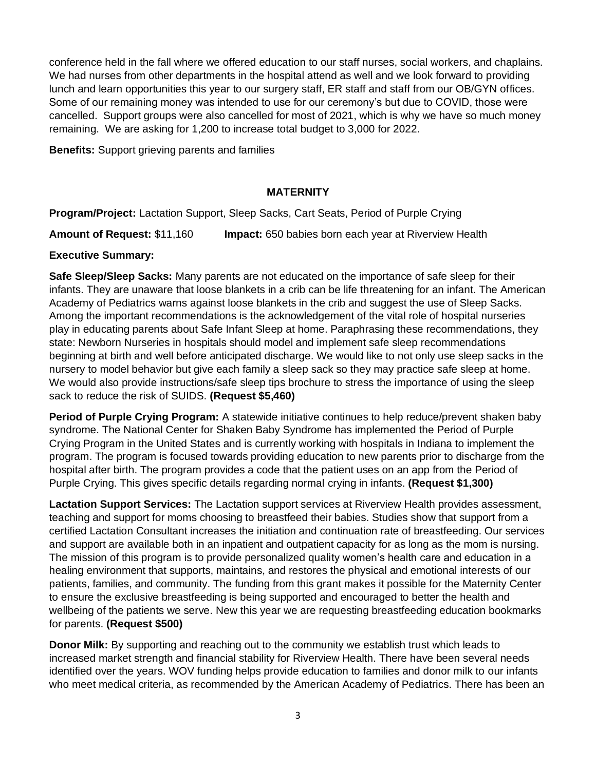conference held in the fall where we offered education to our staff nurses, social workers, and chaplains. We had nurses from other departments in the hospital attend as well and we look forward to providing lunch and learn opportunities this year to our surgery staff, ER staff and staff from our OB/GYN offices. Some of our remaining money was intended to use for our ceremony's but due to COVID, those were cancelled. Support groups were also cancelled for most of 2021, which is why we have so much money remaining. We are asking for 1,200 to increase total budget to 3,000 for 2022.

**Benefits:** Support grieving parents and families

# **MATERNITY**

**Program/Project:** Lactation Support, Sleep Sacks, Cart Seats, Period of Purple Crying

**Amount of Request:** \$11,160 **Impact:** 650 babies born each year at Riverview Health

# **Executive Summary:**

**Safe Sleep/Sleep Sacks:** Many parents are not educated on the importance of safe sleep for their infants. They are unaware that loose blankets in a crib can be life threatening for an infant. The American Academy of Pediatrics warns against loose blankets in the crib and suggest the use of Sleep Sacks. Among the important recommendations is the acknowledgement of the vital role of hospital nurseries play in educating parents about Safe Infant Sleep at home. Paraphrasing these recommendations, they state: Newborn Nurseries in hospitals should model and implement safe sleep recommendations beginning at birth and well before anticipated discharge. We would like to not only use sleep sacks in the nursery to model behavior but give each family a sleep sack so they may practice safe sleep at home. We would also provide instructions/safe sleep tips brochure to stress the importance of using the sleep sack to reduce the risk of SUIDS. **(Request \$5,460)**

**Period of Purple Crying Program:** A statewide initiative continues to help reduce/prevent shaken baby syndrome. The National Center for Shaken Baby Syndrome has implemented the Period of Purple Crying Program in the United States and is currently working with hospitals in Indiana to implement the program. The program is focused towards providing education to new parents prior to discharge from the hospital after birth. The program provides a code that the patient uses on an app from the Period of Purple Crying. This gives specific details regarding normal crying in infants. **(Request \$1,300)**

**Lactation Support Services:** The Lactation support services at Riverview Health provides assessment, teaching and support for moms choosing to breastfeed their babies. Studies show that support from a certified Lactation Consultant increases the initiation and continuation rate of breastfeeding. Our services and support are available both in an inpatient and outpatient capacity for as long as the mom is nursing. The mission of this program is to provide personalized quality women's health care and education in a healing environment that supports, maintains, and restores the physical and emotional interests of our patients, families, and community. The funding from this grant makes it possible for the Maternity Center to ensure the exclusive breastfeeding is being supported and encouraged to better the health and wellbeing of the patients we serve. New this year we are requesting breastfeeding education bookmarks for parents. **(Request \$500)**

**Donor Milk:** By supporting and reaching out to the community we establish trust which leads to increased market strength and financial stability for Riverview Health. There have been several needs identified over the years. WOV funding helps provide education to families and donor milk to our infants who meet medical criteria, as recommended by the American Academy of Pediatrics. There has been an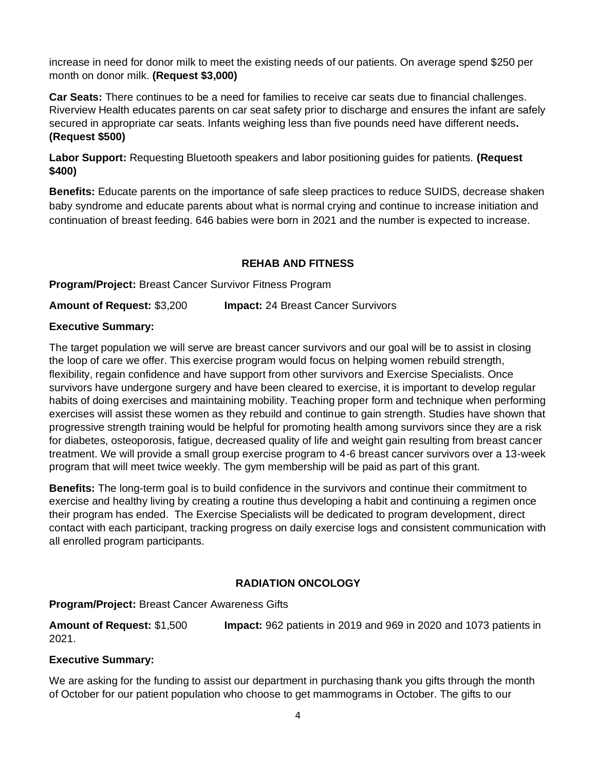increase in need for donor milk to meet the existing needs of our patients. On average spend \$250 per month on donor milk. **(Request \$3,000)**

**Car Seats:** There continues to be a need for families to receive car seats due to financial challenges. Riverview Health educates parents on car seat safety prior to discharge and ensures the infant are safely secured in appropriate car seats. Infants weighing less than five pounds need have different needs**. (Request \$500)**

**Labor Support:** Requesting Bluetooth speakers and labor positioning guides for patients. **(Request \$400)**

**Benefits:** Educate parents on the importance of safe sleep practices to reduce SUIDS, decrease shaken baby syndrome and educate parents about what is normal crying and continue to increase initiation and continuation of breast feeding. 646 babies were born in 2021 and the number is expected to increase.

# **REHAB AND FITNESS**

**Program/Project:** Breast Cancer Survivor Fitness Program

**Amount of Request:** \$3,200 **Impact:** 24 Breast Cancer Survivors

## **Executive Summary:**

The target population we will serve are breast cancer survivors and our goal will be to assist in closing the loop of care we offer. This exercise program would focus on helping women rebuild strength, flexibility, regain confidence and have support from other survivors and Exercise Specialists. Once survivors have undergone surgery and have been cleared to exercise, it is important to develop regular habits of doing exercises and maintaining mobility. Teaching proper form and technique when performing exercises will assist these women as they rebuild and continue to gain strength. Studies have shown that progressive strength training would be helpful for promoting health among survivors since they are a risk for diabetes, osteoporosis, fatigue, decreased quality of life and weight gain resulting from breast cancer treatment. We will provide a small group exercise program to 4-6 breast cancer survivors over a 13-week program that will meet twice weekly. The gym membership will be paid as part of this grant.

**Benefits:** The long-term goal is to build confidence in the survivors and continue their commitment to exercise and healthy living by creating a routine thus developing a habit and continuing a regimen once their program has ended. The Exercise Specialists will be dedicated to program development, direct contact with each participant, tracking progress on daily exercise logs and consistent communication with all enrolled program participants.

# **RADIATION ONCOLOGY**

# **Program/Project:** Breast Cancer Awareness Gifts

**Amount of Request:** \$1,500 **Impact:** 962 patients in 2019 and 969 in 2020 and 1073 patients in 2021.

# **Executive Summary:**

We are asking for the funding to assist our department in purchasing thank you gifts through the month of October for our patient population who choose to get mammograms in October. The gifts to our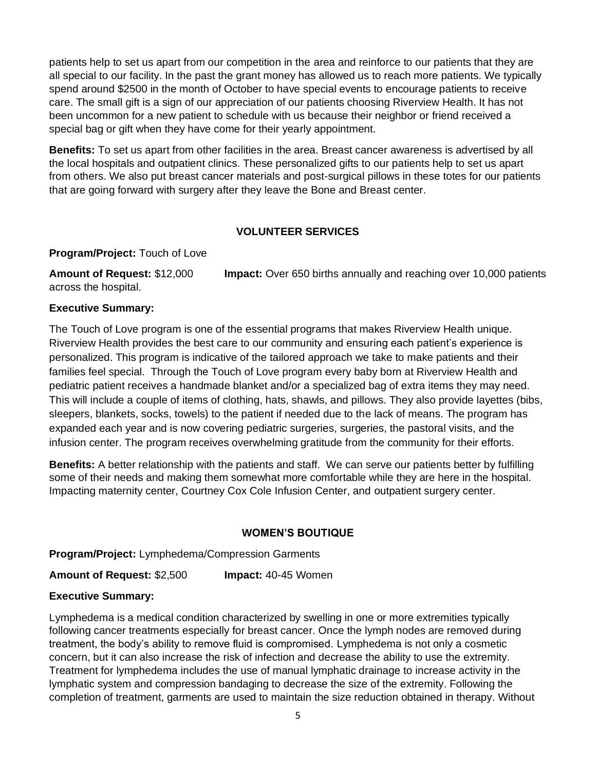patients help to set us apart from our competition in the area and reinforce to our patients that they are all special to our facility. In the past the grant money has allowed us to reach more patients. We typically spend around \$2500 in the month of October to have special events to encourage patients to receive care. The small gift is a sign of our appreciation of our patients choosing Riverview Health. It has not been uncommon for a new patient to schedule with us because their neighbor or friend received a special bag or gift when they have come for their yearly appointment.

**Benefits:** To set us apart from other facilities in the area. Breast cancer awareness is advertised by all the local hospitals and outpatient clinics. These personalized gifts to our patients help to set us apart from others. We also put breast cancer materials and post-surgical pillows in these totes for our patients that are going forward with surgery after they leave the Bone and Breast center.

#### **VOLUNTEER SERVICES**

#### **Program/Project:** Touch of Love

**Amount of Request:** \$12,000 **Impact:** Over 650 births annually and reaching over 10,000 patients across the hospital.

## **Executive Summary:**

The Touch of Love program is one of the essential programs that makes Riverview Health unique. Riverview Health provides the best care to our community and ensuring each patient's experience is personalized. This program is indicative of the tailored approach we take to make patients and their families feel special. Through the Touch of Love program every baby born at Riverview Health and pediatric patient receives a handmade blanket and/or a specialized bag of extra items they may need. This will include a couple of items of clothing, hats, shawls, and pillows. They also provide layettes (bibs, sleepers, blankets, socks, towels) to the patient if needed due to the lack of means. The program has expanded each year and is now covering pediatric surgeries, surgeries, the pastoral visits, and the infusion center. The program receives overwhelming gratitude from the community for their efforts.

**Benefits:** A better relationship with the patients and staff. We can serve our patients better by fulfilling some of their needs and making them somewhat more comfortable while they are here in the hospital. Impacting maternity center, Courtney Cox Cole Infusion Center, and outpatient surgery center.

# **WOMEN'S BOUTIQUE**

#### **Program/Project:** Lymphedema/Compression Garments

**Amount of Request:** \$2,500 **Impact:** 40-45 Women

# **Executive Summary:**

Lymphedema is a medical condition characterized by swelling in one or more extremities typically following cancer treatments especially for breast cancer. Once the lymph nodes are removed during treatment, the body's ability to remove fluid is compromised. Lymphedema is not only a cosmetic concern, but it can also increase the risk of infection and decrease the ability to use the extremity. Treatment for lymphedema includes the use of manual lymphatic drainage to increase activity in the lymphatic system and compression bandaging to decrease the size of the extremity. Following the completion of treatment, garments are used to maintain the size reduction obtained in therapy. Without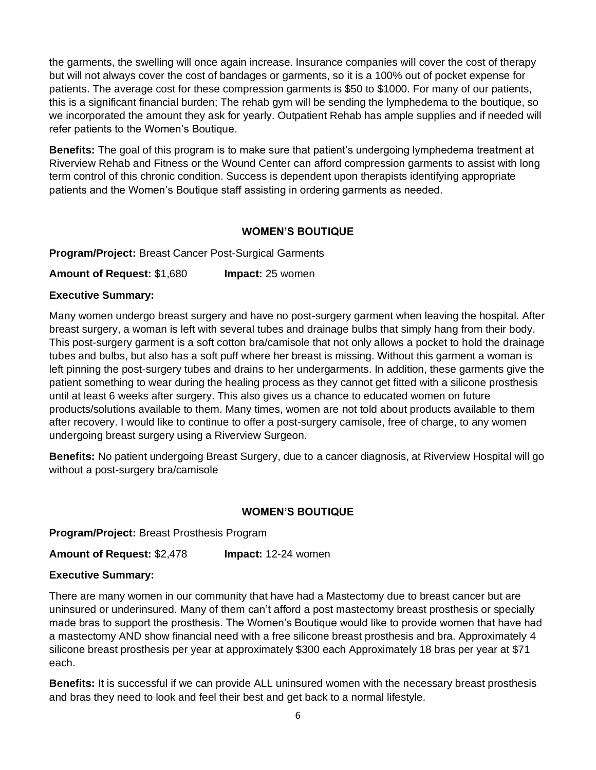the garments, the swelling will once again increase. Insurance companies will cover the cost of therapy but will not always cover the cost of bandages or garments, so it is a 100% out of pocket expense for patients. The average cost for these compression garments is \$50 to \$1000. For many of our patients, this is a significant financial burden; The rehab gym will be sending the lymphedema to the boutique, so we incorporated the amount they ask for yearly. Outpatient Rehab has ample supplies and if needed will refer patients to the Women's Boutique.

**Benefits:** The goal of this program is to make sure that patient's undergoing lymphedema treatment at Riverview Rehab and Fitness or the Wound Center can afford compression garments to assist with long term control of this chronic condition. Success is dependent upon therapists identifying appropriate patients and the Women's Boutique staff assisting in ordering garments as needed.

## **WOMEN'S BOUTIQUE**

**Program/Project:** Breast Cancer Post-Surgical Garments

**Amount of Request:** \$1,680 **Impact:** 25 women

## **Executive Summary:**

Many women undergo breast surgery and have no post-surgery garment when leaving the hospital. After breast surgery, a woman is left with several tubes and drainage bulbs that simply hang from their body. This post-surgery garment is a soft cotton bra/camisole that not only allows a pocket to hold the drainage tubes and bulbs, but also has a soft puff where her breast is missing. Without this garment a woman is left pinning the post-surgery tubes and drains to her undergarments. In addition, these garments give the patient something to wear during the healing process as they cannot get fitted with a silicone prosthesis until at least 6 weeks after surgery. This also gives us a chance to educated women on future products/solutions available to them. Many times, women are not told about products available to them after recovery. I would like to continue to offer a post-surgery camisole, free of charge, to any women undergoing breast surgery using a Riverview Surgeon.

**Benefits:** No patient undergoing Breast Surgery, due to a cancer diagnosis, at Riverview Hospital will go without a post-surgery bra/camisole

#### **WOMEN'S BOUTIQUE**

**Program/Project:** Breast Prosthesis Program

**Amount of Request:** \$2,478 **Impact:** 12-24 women

#### **Executive Summary:**

There are many women in our community that have had a Mastectomy due to breast cancer but are uninsured or underinsured. Many of them can't afford a post mastectomy breast prosthesis or specially made bras to support the prosthesis. The Women's Boutique would like to provide women that have had a mastectomy AND show financial need with a free silicone breast prosthesis and bra. Approximately 4 silicone breast prosthesis per year at approximately \$300 each Approximately 18 bras per year at \$71 each.

**Benefits:** It is successful if we can provide ALL uninsured women with the necessary breast prosthesis and bras they need to look and feel their best and get back to a normal lifestyle.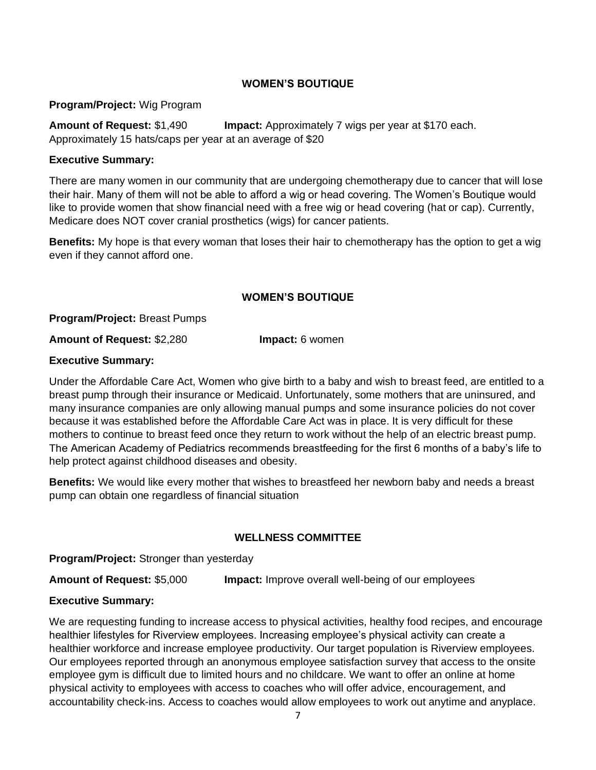# **WOMEN'S BOUTIQUE**

## **Program/Project:** Wig Program

**Amount of Request:** \$1,490 **Impact:** Approximately 7 wigs per year at \$170 each. Approximately 15 hats/caps per year at an average of \$20

## **Executive Summary:**

There are many women in our community that are undergoing chemotherapy due to cancer that will lose their hair. Many of them will not be able to afford a wig or head covering. The Women's Boutique would like to provide women that show financial need with a free wig or head covering (hat or cap). Currently, Medicare does NOT cover cranial prosthetics (wigs) for cancer patients.

**Benefits:** My hope is that every woman that loses their hair to chemotherapy has the option to get a wig even if they cannot afford one.

#### **WOMEN'S BOUTIQUE**

**Program/Project:** Breast Pumps

**Amount of Request:** \$2,280 **Impact:** 6 women

## **Executive Summary:**

Under the Affordable Care Act, Women who give birth to a baby and wish to breast feed, are entitled to a breast pump through their insurance or Medicaid. Unfortunately, some mothers that are uninsured, and many insurance companies are only allowing manual pumps and some insurance policies do not cover because it was established before the Affordable Care Act was in place. It is very difficult for these mothers to continue to breast feed once they return to work without the help of an electric breast pump. The American Academy of Pediatrics recommends breastfeeding for the first 6 months of a baby's life to help protect against childhood diseases and obesity.

**Benefits:** We would like every mother that wishes to breastfeed her newborn baby and needs a breast pump can obtain one regardless of financial situation

# **WELLNESS COMMITTEE**

**Program/Project:** Stronger than yesterday

**Amount of Request:** \$5,000 **Impact:** Improve overall well-being of our employees

# **Executive Summary:**

We are requesting funding to increase access to physical activities, healthy food recipes, and encourage healthier lifestyles for Riverview employees. Increasing employee's physical activity can create a healthier workforce and increase employee productivity. Our target population is Riverview employees. Our employees reported through an anonymous employee satisfaction survey that access to the onsite employee gym is difficult due to limited hours and no childcare. We want to offer an online at home physical activity to employees with access to coaches who will offer advice, encouragement, and accountability check-ins. Access to coaches would allow employees to work out anytime and anyplace.